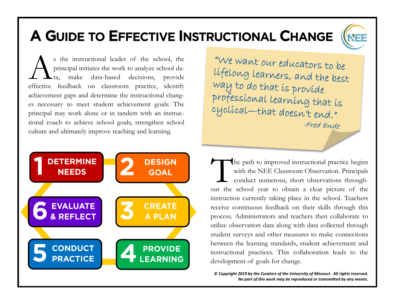## A GUIDE TO EFFECTIVE INSTRUCTIONAL CHANGE

s the instructional leader of the school, the principal initiates the work to analyze school data, make data-based decisions, provide effective feedback on classroom practice, identify s the instructional leader of the school, the principal initiates the work to analyze school data, make data-based decisions, provide achievement gaps and determine the instructional changes necessary to meet student achievement goals. The principal may work alone or in tandem with an instructional coach to achieve school goals, strengthen school culture and ultimately improve teaching and learning.

"We want our educators to be lifelong learners, and the best way to do that is provide professional learning that is cyclical-that doesn't end." -Fred Ende



The path to improved instructional practice begins<br>with the NEE Classroom Observation. Principals<br>conduct numerous, short observations through-<br>out the school year to obtain a clear picture of the he path to improved instructional practice begins with the NEE Classroom Observation. Principals conduct numerous, short observations throughinstruction currently taking place in the school. Teachers receive continuous feedback on their skills through this process. Administrators and teachers then collaborate to utilize observation data along with data collected through student surveys and other measures to make connections between the learning standards, student achievement and instructional practices. This collaboration leads to the development of goals for change.

*© Copyright 2019 by the Curators of the University of Missouri. All rights reserved. No part of this work may be reproduced or transmitted by any means.*